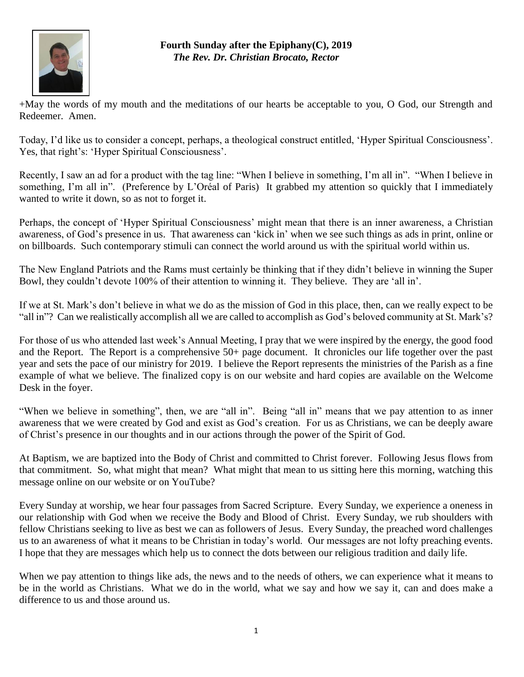

## **Fourth Sunday after the Epiphany(C), 2019** *The Rev. Dr. Christian Brocato, Rector*

+May the words of my mouth and the meditations of our hearts be acceptable to you, O God, our Strength and Redeemer. Amen.

Today, I'd like us to consider a concept, perhaps, a theological construct entitled, 'Hyper Spiritual Consciousness'. Yes, that right's: 'Hyper Spiritual Consciousness'.

Recently, I saw an ad for a product with the tag line: "When I believe in something, I'm all in". "When I believe in something, I'm all in". (Preference by L'Oréal of Paris) It grabbed my attention so quickly that I immediately wanted to write it down, so as not to forget it.

Perhaps, the concept of 'Hyper Spiritual Consciousness' might mean that there is an inner awareness, a Christian awareness, of God's presence in us. That awareness can 'kick in' when we see such things as ads in print, online or on billboards. Such contemporary stimuli can connect the world around us with the spiritual world within us.

The New England Patriots and the Rams must certainly be thinking that if they didn't believe in winning the Super Bowl, they couldn't devote 100% of their attention to winning it. They believe. They are 'all in'.

If we at St. Mark's don't believe in what we do as the mission of God in this place, then, can we really expect to be "all in"? Can we realistically accomplish all we are called to accomplish as God's beloved community at St. Mark's?

For those of us who attended last week's Annual Meeting, I pray that we were inspired by the energy, the good food and the Report. The Report is a comprehensive 50+ page document. It chronicles our life together over the past year and sets the pace of our ministry for 2019. I believe the Report represents the ministries of the Parish as a fine example of what we believe. The finalized copy is on our website and hard copies are available on the Welcome Desk in the foyer.

"When we believe in something", then, we are "all in". Being "all in" means that we pay attention to as inner awareness that we were created by God and exist as God's creation. For us as Christians, we can be deeply aware of Christ's presence in our thoughts and in our actions through the power of the Spirit of God.

At Baptism, we are baptized into the Body of Christ and committed to Christ forever. Following Jesus flows from that commitment. So, what might that mean? What might that mean to us sitting here this morning, watching this message online on our website or on YouTube?

Every Sunday at worship, we hear four passages from Sacred Scripture. Every Sunday, we experience a oneness in our relationship with God when we receive the Body and Blood of Christ. Every Sunday, we rub shoulders with fellow Christians seeking to live as best we can as followers of Jesus. Every Sunday, the preached word challenges us to an awareness of what it means to be Christian in today's world. Our messages are not lofty preaching events. I hope that they are messages which help us to connect the dots between our religious tradition and daily life.

When we pay attention to things like ads, the news and to the needs of others, we can experience what it means to be in the world as Christians. What we do in the world, what we say and how we say it, can and does make a difference to us and those around us.